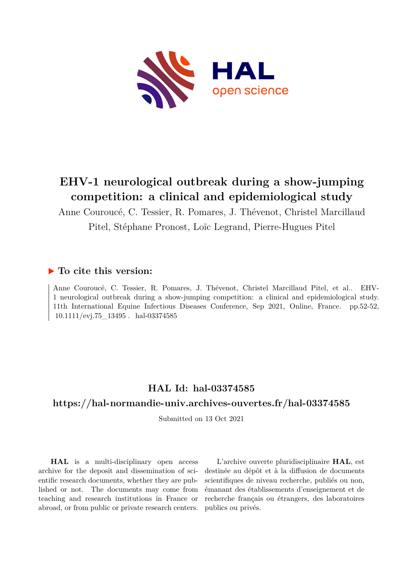

# **EHV-1 neurological outbreak during a show-jumping competition: a clinical and epidemiological study**

Anne Couroucé, C. Tessier, R. Pomares, J. Thévenot, Christel Marcillaud Pitel, Stéphane Pronost, Loïc Legrand, Pierre-Hugues Pitel

### **To cite this version:**

Anne Couroucé, C. Tessier, R. Pomares, J. Thévenot, Christel Marcillaud Pitel, et al.. EHV-1 neurological outbreak during a show-jumping competition: a clinical and epidemiological study. 11th International Equine Infectious Diseases Conference, Sep 2021, Online, France. pp.52-52,  $10.1111/\text{evj}.75\_13495$ . hal-03374585

## **HAL Id: hal-03374585**

### **<https://hal-normandie-univ.archives-ouvertes.fr/hal-03374585>**

Submitted on 13 Oct 2021

**HAL** is a multi-disciplinary open access archive for the deposit and dissemination of scientific research documents, whether they are published or not. The documents may come from teaching and research institutions in France or abroad, or from public or private research centers.

L'archive ouverte pluridisciplinaire **HAL**, est destinée au dépôt et à la diffusion de documents scientifiques de niveau recherche, publiés ou non, émanant des établissements d'enseignement et de recherche français ou étrangers, des laboratoires publics ou privés.